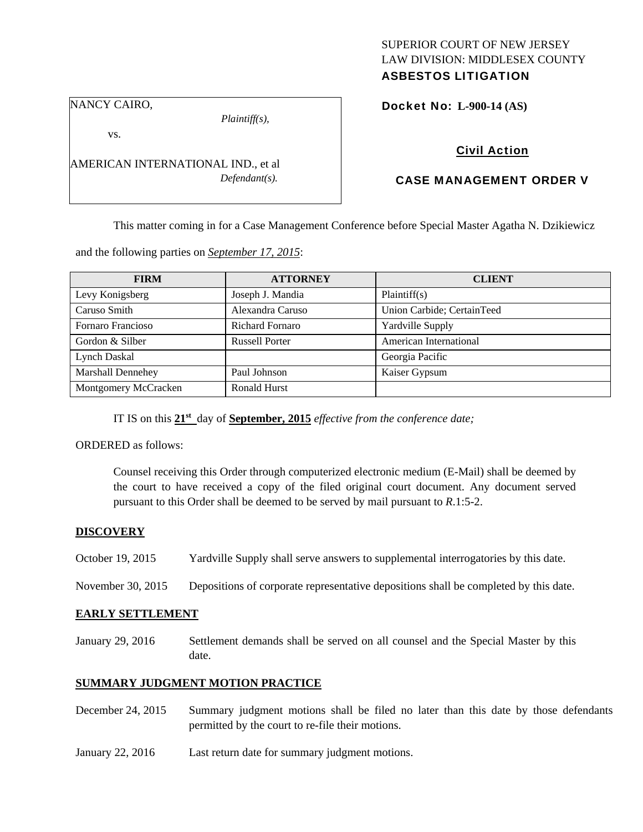# SUPERIOR COURT OF NEW JERSEY LAW DIVISION: MIDDLESEX COUNTY

# ASBESTOS LITIGATION

NANCY CAIRO,

*Plaintiff(s),* 

Docket No: **L-900-14 (AS)** 

vs.

AMERICAN INTERNATIONAL IND., et al *Defendant(s).* 

## Civil Action

## CASE MANAGEMENT ORDER V

This matter coming in for a Case Management Conference before Special Master Agatha N. Dzikiewicz

and the following parties on *September 17, 2015*:

| <b>FIRM</b>              | <b>ATTORNEY</b>        | <b>CLIENT</b>              |
|--------------------------|------------------------|----------------------------|
| Levy Konigsberg          | Joseph J. Mandia       | Plaintiff(s)               |
| Caruso Smith             | Alexandra Caruso       | Union Carbide; CertainTeed |
| Fornaro Francioso        | <b>Richard Fornaro</b> | Yardville Supply           |
| Gordon & Silber          | <b>Russell Porter</b>  | American International     |
| Lynch Daskal             |                        | Georgia Pacific            |
| <b>Marshall Dennehey</b> | Paul Johnson           | Kaiser Gypsum              |
| Montgomery McCracken     | <b>Ronald Hurst</b>    |                            |

IT IS on this **21st** day of **September, 2015** *effective from the conference date;* 

ORDERED as follows:

Counsel receiving this Order through computerized electronic medium (E-Mail) shall be deemed by the court to have received a copy of the filed original court document. Any document served pursuant to this Order shall be deemed to be served by mail pursuant to *R*.1:5-2.

### **DISCOVERY**

October 19, 2015 Yardville Supply shall serve answers to supplemental interrogatories by this date.

November 30, 2015 Depositions of corporate representative depositions shall be completed by this date.

#### **EARLY SETTLEMENT**

January 29, 2016 Settlement demands shall be served on all counsel and the Special Master by this date.

### **SUMMARY JUDGMENT MOTION PRACTICE**

- December 24, 2015 Summary judgment motions shall be filed no later than this date by those defendants permitted by the court to re-file their motions.
- January 22, 2016 Last return date for summary judgment motions.